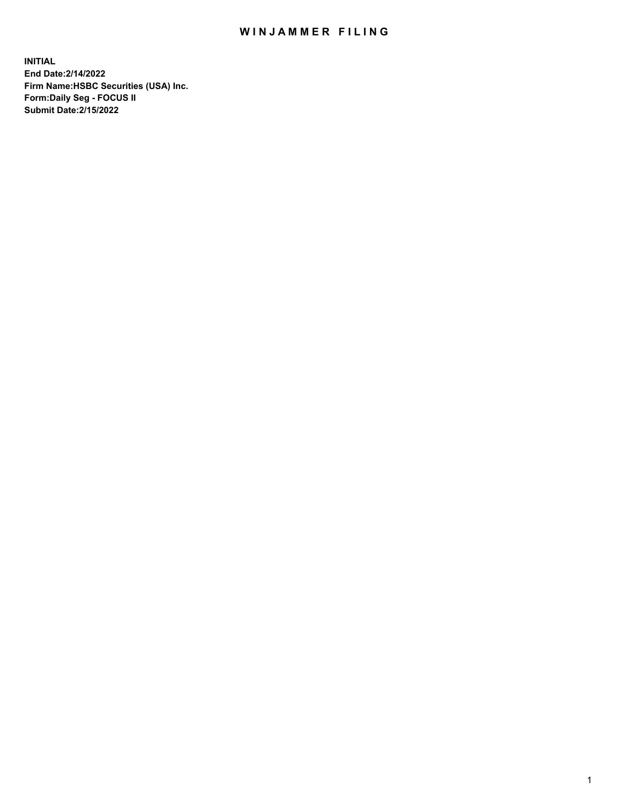## WIN JAMMER FILING

**INITIAL End Date:2/14/2022 Firm Name:HSBC Securities (USA) Inc. Form:Daily Seg - FOCUS II Submit Date:2/15/2022**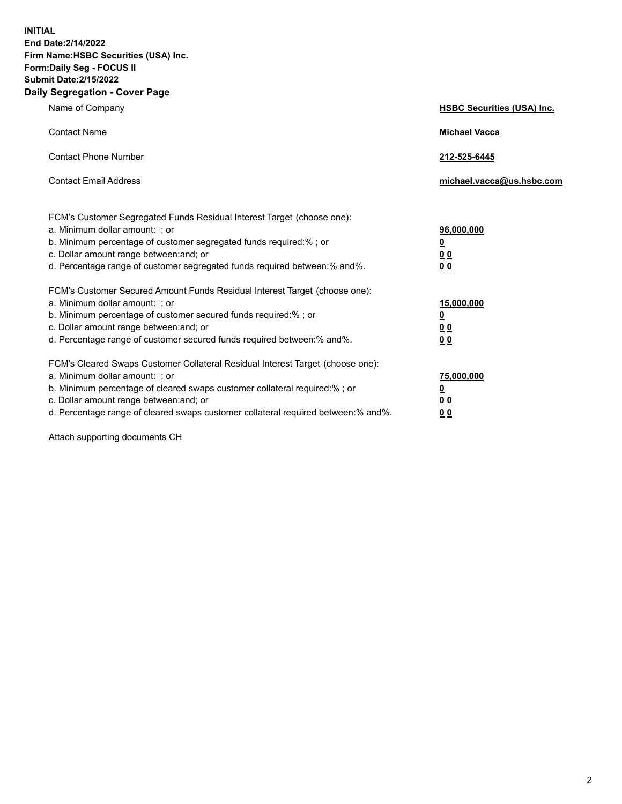**INITIAL End Date:2/14/2022 Firm Name:HSBC Securities (USA) Inc. Form:Daily Seg - FOCUS II Submit Date:2/15/2022 Daily Segregation - Cover Page**

| Name of Company                                                                                                                                                                                                                                                                                                                | <b>HSBC Securities (USA) Inc.</b>                              |
|--------------------------------------------------------------------------------------------------------------------------------------------------------------------------------------------------------------------------------------------------------------------------------------------------------------------------------|----------------------------------------------------------------|
| <b>Contact Name</b>                                                                                                                                                                                                                                                                                                            | <b>Michael Vacca</b>                                           |
| <b>Contact Phone Number</b>                                                                                                                                                                                                                                                                                                    | 212-525-6445                                                   |
| <b>Contact Email Address</b>                                                                                                                                                                                                                                                                                                   | michael.vacca@us.hsbc.com                                      |
| FCM's Customer Segregated Funds Residual Interest Target (choose one):<br>a. Minimum dollar amount: ; or<br>b. Minimum percentage of customer segregated funds required:%; or<br>c. Dollar amount range between: and; or<br>d. Percentage range of customer segregated funds required between:% and%.                          | 96,000,000<br>$\underline{\mathbf{0}}$<br>0 <sub>0</sub><br>00 |
| FCM's Customer Secured Amount Funds Residual Interest Target (choose one):<br>a. Minimum dollar amount: ; or<br>b. Minimum percentage of customer secured funds required:% ; or<br>c. Dollar amount range between: and; or<br>d. Percentage range of customer secured funds required between:% and%.                           | 15,000,000<br><u>0</u><br>0 <sub>0</sub><br>0 <sub>0</sub>     |
| FCM's Cleared Swaps Customer Collateral Residual Interest Target (choose one):<br>a. Minimum dollar amount: ; or<br>b. Minimum percentage of cleared swaps customer collateral required:% ; or<br>c. Dollar amount range between: and; or<br>d. Percentage range of cleared swaps customer collateral required between:% and%. | 75,000,000<br><u>0</u><br><u>00</u><br>00                      |

Attach supporting documents CH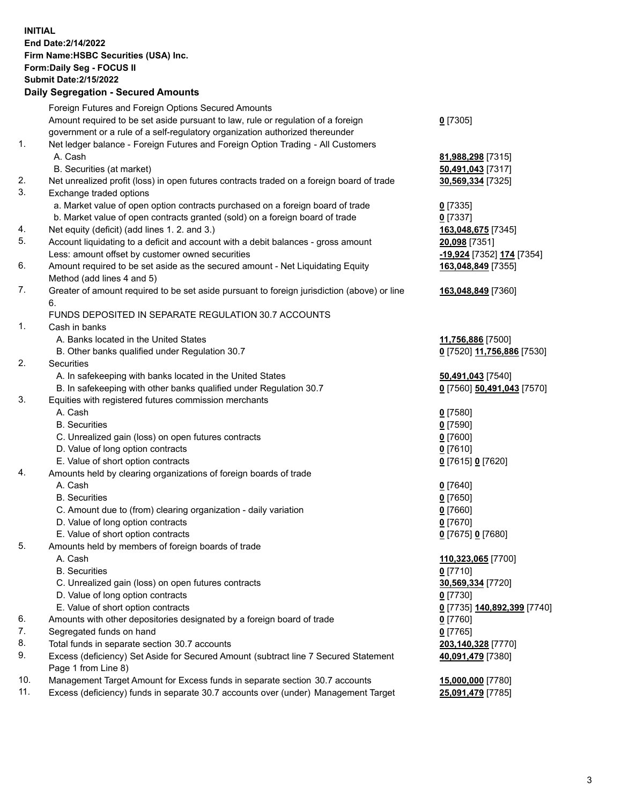**INITIAL End Date:2/14/2022 Firm Name:HSBC Securities (USA) Inc. Form:Daily Seg - FOCUS II Submit Date:2/15/2022 Daily Segregation - Secured Amounts**

|                | Foreign Futures and Foreign Options Secured Amounts                                         |                                  |
|----------------|---------------------------------------------------------------------------------------------|----------------------------------|
|                | Amount required to be set aside pursuant to law, rule or regulation of a foreign            | $0$ [7305]                       |
|                | government or a rule of a self-regulatory organization authorized thereunder                |                                  |
| $\mathbf{1}$ . | Net ledger balance - Foreign Futures and Foreign Option Trading - All Customers             |                                  |
|                | A. Cash                                                                                     | 81,988,298 [7315]                |
|                | B. Securities (at market)                                                                   | 50,491,043 [7317]                |
| 2.             | Net unrealized profit (loss) in open futures contracts traded on a foreign board of trade   | 30,569,334 [7325]                |
| 3.             | Exchange traded options                                                                     |                                  |
|                | a. Market value of open option contracts purchased on a foreign board of trade              | $0$ [7335]                       |
|                | b. Market value of open contracts granted (sold) on a foreign board of trade                | $0$ [7337]                       |
| 4.             | Net equity (deficit) (add lines 1. 2. and 3.)                                               | 163,048,675 [7345]               |
| 5.             | Account liquidating to a deficit and account with a debit balances - gross amount           | 20,098 [7351]                    |
|                | Less: amount offset by customer owned securities                                            | -19,924 [7352] 174 [7354]        |
| 6.             | Amount required to be set aside as the secured amount - Net Liquidating Equity              | 163,048,849 [7355]               |
|                | Method (add lines 4 and 5)                                                                  |                                  |
| 7.             | Greater of amount required to be set aside pursuant to foreign jurisdiction (above) or line | 163,048,849 [7360]               |
|                | 6.                                                                                          |                                  |
|                | FUNDS DEPOSITED IN SEPARATE REGULATION 30.7 ACCOUNTS                                        |                                  |
| $\mathbf{1}$ . | Cash in banks                                                                               |                                  |
|                | A. Banks located in the United States                                                       | 11,756,886 [7500]                |
|                | B. Other banks qualified under Regulation 30.7                                              | 0 [7520] 11,756,886 [7530]       |
| 2.             | <b>Securities</b>                                                                           |                                  |
|                | A. In safekeeping with banks located in the United States                                   | 50,491,043 [7540]                |
|                | B. In safekeeping with other banks qualified under Regulation 30.7                          | 0 [7560] 50,491,043 [7570]       |
| 3.             | Equities with registered futures commission merchants                                       |                                  |
|                | A. Cash                                                                                     | $0$ [7580]                       |
|                | <b>B.</b> Securities                                                                        | $0$ [7590]                       |
|                | C. Unrealized gain (loss) on open futures contracts                                         | $0$ [7600]                       |
|                | D. Value of long option contracts                                                           | $0$ [7610]                       |
|                | E. Value of short option contracts                                                          | 0 [7615] 0 [7620]                |
| 4.             | Amounts held by clearing organizations of foreign boards of trade                           |                                  |
|                | A. Cash                                                                                     | $0$ [7640]                       |
|                | <b>B.</b> Securities                                                                        | $0$ [7650]                       |
|                | C. Amount due to (from) clearing organization - daily variation                             | $0$ [7660]                       |
|                | D. Value of long option contracts                                                           | $0$ [7670]                       |
|                | E. Value of short option contracts                                                          | 0 [7675] 0 [7680]                |
| 5.             | Amounts held by members of foreign boards of trade                                          |                                  |
|                | A. Cash                                                                                     | <u>110,323,065</u> [7700]        |
|                | <b>B.</b> Securities                                                                        | $0$ [7710]                       |
|                | C. Unrealized gain (loss) on open futures contracts                                         | 30,569,334 [7720]                |
|                | D. Value of long option contracts                                                           | $0$ [7730]                       |
|                | E. Value of short option contracts                                                          | 0 [7735] 140,892,399 [7740]      |
| 6.             | Amounts with other depositories designated by a foreign board of trade                      | 0 [7760]                         |
| 7.             | Segregated funds on hand                                                                    |                                  |
| 8.             | Total funds in separate section 30.7 accounts                                               | $0$ [7765]<br>203,140,328 [7770] |
| 9.             | Excess (deficiency) Set Aside for Secured Amount (subtract line 7 Secured Statement         | 40,091,479 [7380]                |
|                | Page 1 from Line 8)                                                                         |                                  |
| 10.            | Management Target Amount for Excess funds in separate section 30.7 accounts                 | 15,000,000 [7780]                |
| 11.            | Excess (deficiency) funds in separate 30.7 accounts over (under) Management Target          | 25,091,479 [7785]                |
|                |                                                                                             |                                  |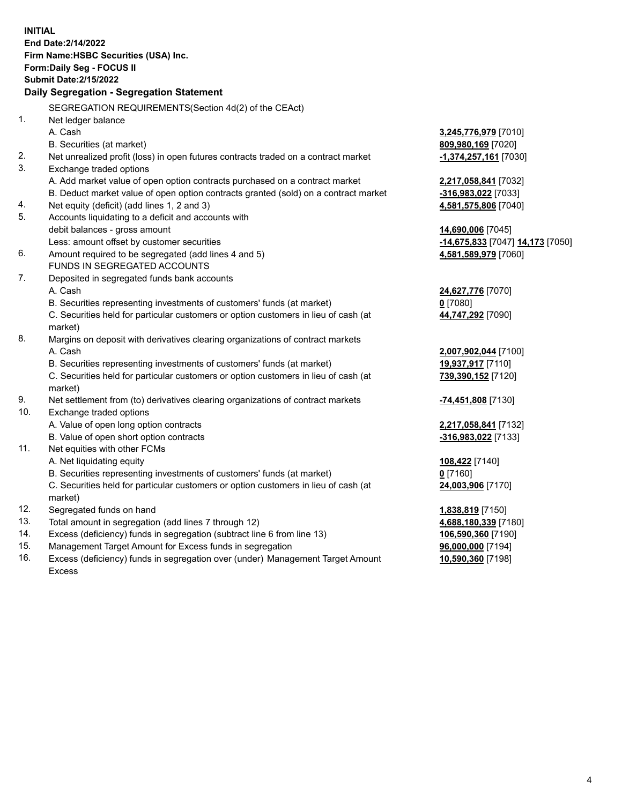**INITIAL End Date:2/14/2022 Firm Name:HSBC Securities (USA) Inc. Form:Daily Seg - FOCUS II Submit Date:2/15/2022 Daily Segregation - Segregation Statement** SEGREGATION REQUIREMENTS(Section 4d(2) of the CEAct) 1. Net ledger balance A. Cash **3,245,776,979** [7010] B. Securities (at market) **809,980,169** [7020] 2. Net unrealized profit (loss) in open futures contracts traded on a contract market **-1,374,257,161** [7030] 3. Exchange traded options A. Add market value of open option contracts purchased on a contract market **2,217,058,841** [7032] B. Deduct market value of open option contracts granted (sold) on a contract market **-316,983,022** [7033] 4. Net equity (deficit) (add lines 1, 2 and 3) **4,581,575,806** [7040] 5. Accounts liquidating to a deficit and accounts with debit balances - gross amount **14,690,006** [7045] Less: amount offset by customer securities **-14,675,833** [7047] **14,173** [7050] 6. Amount required to be segregated (add lines 4 and 5) **4,581,589,979** [7060] FUNDS IN SEGREGATED ACCOUNTS 7. Deposited in segregated funds bank accounts A. Cash **24,627,776** [7070] B. Securities representing investments of customers' funds (at market) **0** [7080] C. Securities held for particular customers or option customers in lieu of cash (at market) **44,747,292** [7090] 8. Margins on deposit with derivatives clearing organizations of contract markets A. Cash **2,007,902,044** [7100] B. Securities representing investments of customers' funds (at market) **19,937,917** [7110] C. Securities held for particular customers or option customers in lieu of cash (at market) **739,390,152** [7120] 9. Net settlement from (to) derivatives clearing organizations of contract markets **-74,451,808** [7130] 10. Exchange traded options A. Value of open long option contracts **2,217,058,841** [7132] B. Value of open short option contracts **-316,983,022** [7133] 11. Net equities with other FCMs A. Net liquidating equity **108,422** [7140] B. Securities representing investments of customers' funds (at market) **0** [7160] C. Securities held for particular customers or option customers in lieu of cash (at market) **24,003,906** [7170] 12. Segregated funds on hand **1,838,819** [7150] 13. Total amount in segregation (add lines 7 through 12) **4,688,180,339** [7180] 14. Excess (deficiency) funds in segregation (subtract line 6 from line 13) **106,590,360** [7190] 15. Management Target Amount for Excess funds in segregation **96,000,000** [7194] 16. Excess (deficiency) funds in segregation over (under) Management Target Amount **10,590,360** [7198]

Excess